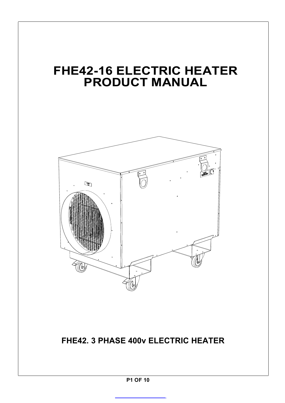# **FHE42-16 ELECTRIC HEATER PRODUCT MANUAL**



**FHE42. 3 PHASE 400v ELECTRIC HEATER** 

**P1 OF 10**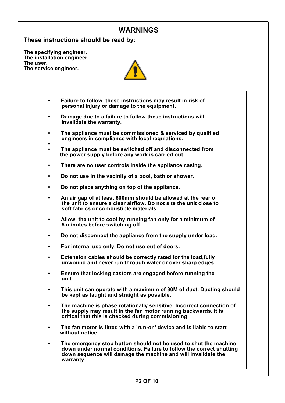## **WARNINGS**

**These instructions should be read by:**

**The specifying engineer. The installation engineer. The user. The service engineer.**



- **Failure to follow these instructions may result in risk of• personal injury or damage to the equipment.**
- **Damage due to a failure to follow these instructions will • invalidate the warranty.**
- **• The appliance must be commissioned & serviced by qualified engineers in compliance with local regulations.**
- **• The appliance must be switched off and disconnected from• the power supply before any work is carried out.**
- **There are no user controls inside the appliance casing.•**
- **Do not use in the vacinity of a pool, bath or shower.•**
- **Do** not place anything on top of the appliance.
- **An air gap of at least 600mm should be allowed at the rear of• the unit to ensure a clear airflow. Do not site the unit close to soft fabrics or combustible materials.**
- **Allow the unit to cool by running fan only for a minimum of• 5 minutes before switching off.**
- **Do not disconnect the appliance from the supply under load.•**
- **For internal use only. Do not use out of doors.•**
- **Extension cables should be correctly rated for the load,fully• unwound and never run through water or over sharp edges.**
- **Ensure that locking castors are engaged before running the• unit.**
- **• This unit can operate with a maximum of 30M of duct. Ducting should be kept as taught and straight as possible.**
- **• The machine is phase rotationally sensitive. Incorrect connection of the supply may result in the fan motor running backwards. It is critical that this is checked during commisioning.**
- **• The fan motor is fitted with a 'run-on' device and is liable to start without notice.**
- **• The emergency stop button should not be used to shut the machine down under normal conditions. Failure to follow the correct shutting down sequence will damage the machine and will invalidate the warranty.**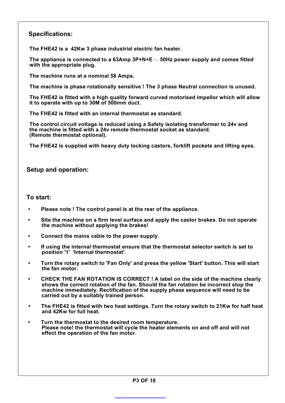## **Specifications:**

**The FHE42 is a 42Kw 3 phase industrial electric fan heater.**

**The appliance is connected to a 63Amp 3P+N+E 50Hz power supply and comes fitted with the appropriate plug.**

**The machine runs at a nominal 58 Amps.**

**The machine is phase rotationally sensitive ! The 3 phase Neutral connection is unused.**

**The FHE42 is fitted with a high quality forward curved motorised impellor which will allow it to operate with up to 30M of 500mm duct.**

**The FHE42 is fitted with an internal thermostat as standard.**

**the machine is fitted with a 24v remote thermostat socket as standard. (Remote thermostat optional). The control circuit voltage is reduced using a Safety isolating transformer to 24v and**

**The FHE42 is supplied with heavy duty locking castors, forklift pockets and lifting eyes.**

#### **Setup and operation:**

#### **To start:**

- **• Please note ! The control panel is at the rear of the appliance.**
- **• Site the machine on a firm level surface and apply the castor brakes. Do not operate the machine without applying the brakes!**
- **Connect the mains cable to the power supply.•**
- **• If using the internal thermostat ensure that the thermostat selector switch is set to position '1' 'Internal thermostat'.**
- **• Turn the rotary switch to 'Fan Only' and press the yellow 'Start' button. This will start the fan motor.**
- **• CHECK THE FAN ROTATION IS CORRECT ! A label on the side of the machine clearly shows the correct rotation of the fan. Should the fan rotation be incorrect stop the machine immediately. Rectification of the supply phase sequence will need to be carried out by a suitably trained person.**
- **• The FHE42 is fitted with two heat settings. Turn the rotary switch to 21Kw for half heat and 42Kw for full heat.**
- **Turn the thermostat to the desired room temperature. • Please note! the thermostat will cycle the heater elements on and off and will not effect the operation of the fan motor.**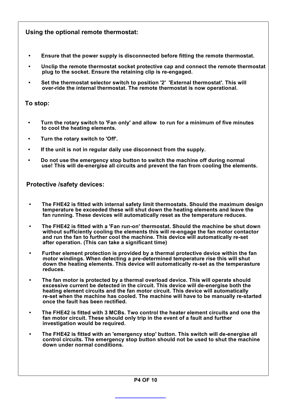## **Using the optional remote thermostat:**

- **• Ensure that the power supply is disconnected before fitting the remote thermostat.**
- **• Unclip the remote thermostat socket protective cap and connect the remote thermostat plug to the socket. Ensure the retaining clip is re-engaged.**
- **• Set the thermostat selector switch to position '2' 'External thermostat'. This will over-ride the internal thermostat. The remote thermostat is now operational.**

#### **To stop:**

- **• Turn the rotary switch to 'Fan only' and allow to run for a minimum of five minutes to cool the heating elements.**
- **Turn the rotary switch to 'Off'.•**
- **• If the unit is not in regular daily use disconnect from the supply.**
- **• Do not use the emergency stop button to switch the machine off during normal use! This will de-energise all circuits and prevent the fan from cooling the elements.**

**Protective /safety devices:**

- **The FHE42 is fitted with internal safety limit thermostats. Should the maximum design temperature be exceeded these will shut down the heating elements and leave the fan running. These devices will automatically reset as the temperature reduces.**
- **• The FHE42 is fitted with a 'Fan run-on' thermostat. Should the machine be shut down without sufficiently cooling the elements this will re-engage the fan motor contactor and run the fan to further cool the machine. This device will automatically re-set after operation. (This can take a significant time)**
- **• Further element protection is provided by a thermal protective device within the fan motor windings. When detecting a pre-determined temperature rise this will shut down the heating elements. This device will automatically re-set as the temperasture reduces.**
- **• The fan motor is protected by a thermal overload device. This will operate should excessive current be detected in the circuit. This device will de-energise both the heating element circuits and the fan motor circuit. This device will automatically re-set when the machine has cooled. The machine will have to be manually re-started once the fault has been rectified.**
- **The FHE42 is fitted with 3 MCBs. Two control the heater element circuits and one the fan motor circuit. These should only trip in the event of a fault and further investigation would be required.**
- **• The FHE42 is fitted with an 'emergency stop' button. This switch will de-energise all control circuits. The emergency stop button should not be used to shut the machine down under normal conditions.**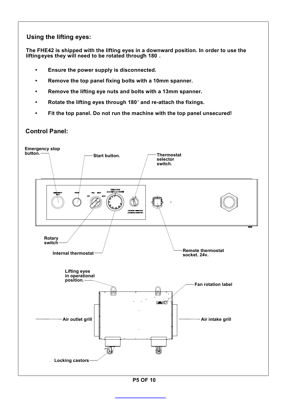## **Using the lifting eyes:**

**The FHE42 is shipped with the lifting eyes in a downward position. In order to use the liftingeyes they will need to be rotated through 180 .**

- **Ensure the power supply is disconnected.•**
- **Remove the top panel fixing bolts with a 10mm spanner.**
- **Remove the lifting eye nuts and bolts with a 13mm spanner.•**
- **• Rotate the lifting eyes through 180 and re-attach the fixings.**
- **• Fit the top panel. Do not run the machine with the top panel unsecured!**

# **Control Panel:**

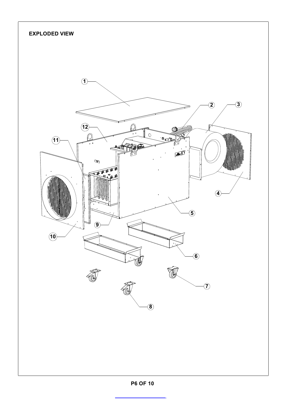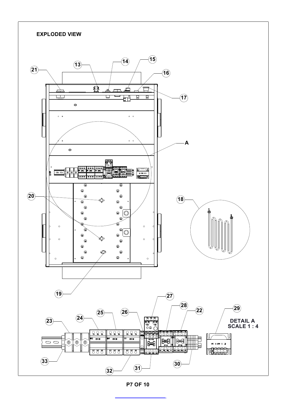

**P7 OF 10**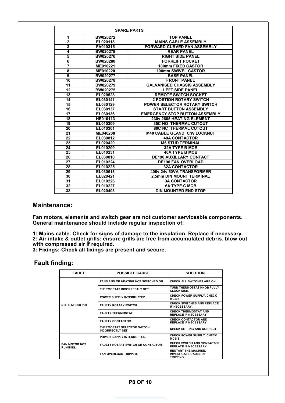| <b>SPARE PARTS</b>      |                 |                                       |  |
|-------------------------|-----------------|---------------------------------------|--|
| 1                       | <b>BW020272</b> | <b>TOP PANEL</b>                      |  |
| $\overline{2}$          | EL020118        | <b>MAINS CABLE ASSEMBLY</b>           |  |
| 3                       | FA010315        | <b>FORWARD CURVED FAN ASSEMBLY</b>    |  |
| 4                       | <b>BW020279</b> | <b>REAR PANEL</b>                     |  |
| $\overline{\mathbf{5}}$ | BW020276        | <b>RIGHT SIDE PANEL</b>               |  |
| $\overline{\mathbf{6}}$ | BW020280        | <b>FORKLIFT POCKET</b>                |  |
| 7                       | ME010221        | <b>100mm FIXED CASTOR</b>             |  |
| 8                       | ME010220        | 100mm SWIVEL CASTOR                   |  |
| 9                       | <b>BW020277</b> | <b>BASE PANEL</b>                     |  |
| 10                      | <b>BW020278</b> | <b>FRONT PANEL</b>                    |  |
| 11                      | <b>BW020279</b> | <b>GALVANISED CHASSIS ASSEMBLY</b>    |  |
| 12                      | <b>BW020275</b> | <b>LEFT SIDE PANEL</b>                |  |
| 13                      | EL020523        | <b>REMOTE SWITCH SOCKET</b>           |  |
| 14                      | EL030141        | <b>2 POSTION ROTARY SWITCH</b>        |  |
| 15                      | EL030129        | <b>POWER SELECTOR ROTARY SWITCH</b>   |  |
| 16                      | EL030137        | <b>START BUTTON ASSEMBLY</b>          |  |
| 17                      | EL030136        | <b>EMERGENCY STOP BUTTON ASSEMBLY</b> |  |
| 18                      | HE010113        | 230v 2665 HEATING ELEMENT             |  |
| 19                      | EL010309        | <b>35C NO THERMAL CUTOUT</b>          |  |
| 20                      | EL010301        | <b>80C NC THERMAL CUTOUT</b>          |  |
| 21                      | ME040208        | <b>M40 CABLE GLAND C/W LOCKNUT</b>    |  |
| $\overline{22}$         | EL030812        | <b>40A CONTACTOR</b>                  |  |
| 23                      | EL020420        | <b>M6 STUD TERMINAL</b>               |  |
| 24                      | EL010209        | <b>32A TYPE B MCB</b>                 |  |
| 25                      | EL010231        | <b>40A TYPE B MCB</b>                 |  |
| 26                      | EL030810        | <b>DE190 AUXILLARY CONTACT</b>        |  |
| $\overline{27}$         | EL010224        | <b>DE190 FAN OVERLOAD</b>             |  |
| 28                      | EL010225        | <b>32A CONTACTOR</b>                  |  |
| 29                      | EL030618        | 400v-24v 50VA TRANSFORMER             |  |
| 30                      | EL020421        | <b>2.5mm DIN MOUNT TERMINAL</b>       |  |
| 31                      | EL010226        | <b>9A CONTACTOR</b>                   |  |
| 32                      | EL010227        | <b>6A TYPE C MCB</b>                  |  |
| 33                      | EL020403        | <b>DIN MOUNTED END STOP</b>           |  |

#### **Maintenance:**

**Fan motors, elements and switch gear are not customer serviceable components. General maintenance should include regular inspection of:**

**1: Mains cable. Check for signs of damage to the insulation. Replace if necessary. 2: Air intake & outlet grills: ensure grills are free from accumulated debris. blow out with compressed air if required.**

**3: Fixings: Check all fixings are present and secure.**

#### **Fault finding:**

| <b>FAULT</b>                     | <b>POSSIBLE CAUSE</b>                                 | <b>SOLUTION</b>                                                         |
|----------------------------------|-------------------------------------------------------|-------------------------------------------------------------------------|
|                                  | <b>FANS AND OR HEATING NOT SWITCHED ON.</b>           | CHECK ALL SWITCHES ARE ON                                               |
|                                  | THERMOSTAT INCORRECTLY SET.                           | TURN THERMOSTAT KNOB FULLY<br><b>CLOCKWISE.</b>                         |
|                                  | POWER SUPPLY INTERRUPTED.                             | <b>CHECK POWER SUPPLY, CHECK</b><br>MCB'S                               |
| NO HEAT OUTPUT.                  | <b>FAULTY ROTARY SWITCH.</b>                          | <b>CHECK SWITCHES AND REPLACE</b><br>IF NECESSARY.                      |
|                                  | <b>FAULTY THERMOSTAT.</b>                             | <b>CHECK THERMOSTAT AND</b><br><b>REPLACE IF NECESSARY.</b>             |
|                                  | <b>FAULTY CONTACTOR.</b>                              | <b>CHECK CONTACTOR AND</b><br><b>REPLACE IF NECESSARY.</b>              |
|                                  | THERMOSTAT SELECTOR SWITCH<br><b>INCORRECTLY SET.</b> | <b>CHECK SETTING AND CORRECT.</b>                                       |
|                                  | <b>POWER SUPPLY INTERRUPTED.</b>                      | <b>CHECK POWER SUPPLY, CHECK</b><br>MCB'S.                              |
| <b>FAN MOTOR NOT</b><br>RUNNING. | <b>FAULTY ROTARY SWITCH OR CONTACTOR</b>              | CHECK SWITCH AND CONTACTOR<br><b>REPLACE IF NECESSARY.</b>              |
|                                  | <b>FAN OVERLOAD TRIPPED.</b>                          | <b>RESTART THE MACHINE.</b><br><b>INVESTIGATE CAUSE OF</b><br>TRIPPING. |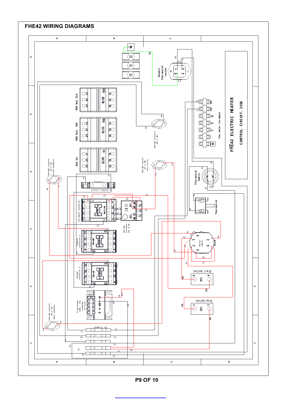

**P 9 O F 10**